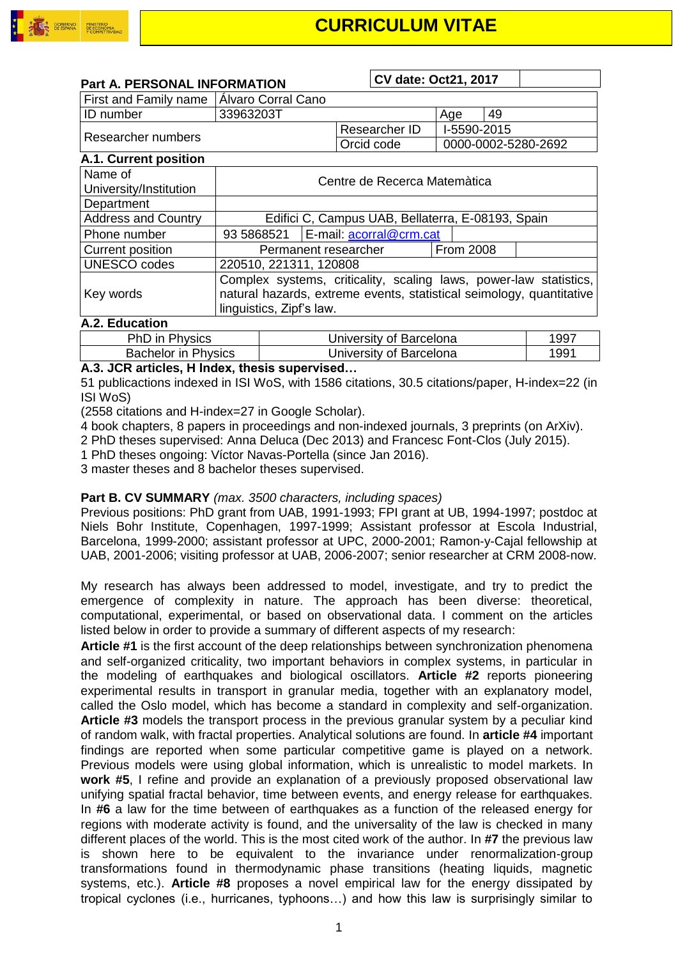

| <b>Part A. PERSONAL INFORMATION</b>        |           | CV date: Oct21, 2017              |             |    |
|--------------------------------------------|-----------|-----------------------------------|-------------|----|
| First and Family name   Álvaro Corral Cano |           |                                   |             |    |
| <b>ID</b> number                           | 33963203T |                                   | Age         | 49 |
|                                            |           | Researcher ID                     | I-5590-2015 |    |
| Researcher numbers                         |           | Orcid code<br>0000-0002-5280-2692 |             |    |
| <b>A.1. Current position</b>               |           |                                   |             |    |
|                                            |           |                                   |             |    |

| Name of<br>University/Institution | Centre de Recerca Matemàtica                                                                                                                                          |                                      |                  |  |  |
|-----------------------------------|-----------------------------------------------------------------------------------------------------------------------------------------------------------------------|--------------------------------------|------------------|--|--|
| Department                        |                                                                                                                                                                       |                                      |                  |  |  |
| <b>Address and Country</b>        | Edifici C, Campus UAB, Bellaterra, E-08193, Spain                                                                                                                     |                                      |                  |  |  |
| Phone number                      |                                                                                                                                                                       | 93 5868521   E-mail: acorral@crm.cat |                  |  |  |
| <b>Current position</b>           |                                                                                                                                                                       | Permanent researcher                 | <b>From 2008</b> |  |  |
| <b>UNESCO</b> codes               | 220510, 221311, 120808                                                                                                                                                |                                      |                  |  |  |
| Key words                         | Complex systems, criticality, scaling laws, power-law statistics,<br>natural hazards, extreme events, statistical seimology, quantitative<br>linguistics, Zipf's law. |                                      |                  |  |  |

#### **A.2. Education**

| PhD in Physics             | University of Barcelona | 1997 |
|----------------------------|-------------------------|------|
| <b>Bachelor in Physics</b> | University of Barcelona | 1991 |

### **A.3. JCR articles, H Index, thesis supervised…**

51 publicactions indexed in ISI WoS, with 1586 citations, 30.5 citations/paper, H-index=22 (in ISI WoS)

(2558 citations and H-index=27 in Google Scholar).

4 book chapters, 8 papers in proceedings and non-indexed journals, 3 preprints (on ArXiv).

2 PhD theses supervised: Anna Deluca (Dec 2013) and Francesc Font-Clos (July 2015).

1 PhD theses ongoing: Víctor Navas-Portella (since Jan 2016).

3 master theses and 8 bachelor theses supervised.

#### **Part B. CV SUMMARY** *(max. 3500 characters, including spaces)*

Previous positions: PhD grant from UAB, 1991-1993; FPI grant at UB, 1994-1997; postdoc at Niels Bohr Institute, Copenhagen, 1997-1999; Assistant professor at Escola Industrial, Barcelona, 1999-2000; assistant professor at UPC, 2000-2001; Ramon-y-Cajal fellowship at UAB, 2001-2006; visiting professor at UAB, 2006-2007; senior researcher at CRM 2008-now.

My research has always been addressed to model, investigate, and try to predict the emergence of complexity in nature. The approach has been diverse: theoretical, computational, experimental, or based on observational data. I comment on the articles listed below in order to provide a summary of different aspects of my research:

**Article #1** is the first account of the deep relationships between synchronization phenomena and self-organized criticality, two important behaviors in complex systems, in particular in the modeling of earthquakes and biological oscillators. **Article #2** reports pioneering experimental results in transport in granular media, together with an explanatory model, called the Oslo model, which has become a standard in complexity and self-organization. **Article #3** models the transport process in the previous granular system by a peculiar kind of random walk, with fractal properties. Analytical solutions are found. In **article #4** important findings are reported when some particular competitive game is played on a network. Previous models were using global information, which is unrealistic to model markets. In **work #5**, I refine and provide an explanation of a previously proposed observational law unifying spatial fractal behavior, time between events, and energy release for earthquakes. In **#6** a law for the time between of earthquakes as a function of the released energy for regions with moderate activity is found, and the universality of the law is checked in many different places of the world. This is the most cited work of the author. In **#7** the previous law is shown here to be equivalent to the invariance under renormalization-group transformations found in thermodynamic phase transitions (heating liquids, magnetic systems, etc.). **Article #8** proposes a novel empirical law for the energy dissipated by tropical cyclones (i.e., hurricanes, typhoons…) and how this law is surprisingly similar to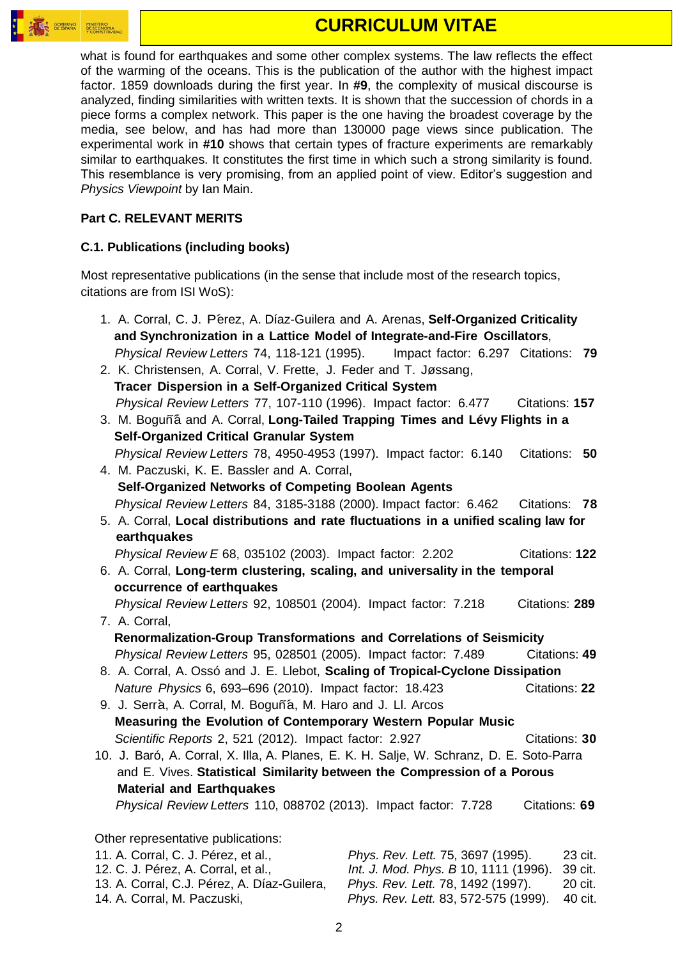

# **CURRICULUM VITAE**

what is found for earthquakes and some other complex systems. The law reflects the effect of the warming of the oceans. This is the publication of the author with the highest impact factor. 1859 downloads during the first year. In **#9**, the complexity of musical discourse is analyzed, finding similarities with written texts. It is shown that the succession of chords in a piece forms a complex network. This paper is the one having the broadest coverage by the media, see below, and has had more than 130000 page views since publication. The experimental work in **#10** shows that certain types of fracture experiments are remarkably similar to earthquakes. It constitutes the first time in which such a strong similarity is found. This resemblance is very promising, from an applied point of view. Editor's suggestion and *Physics Viewpoint* by Ian Main.

## **Part C. RELEVANT MERITS**

### **C.1. Publications (including books)**

Most representative publications (in the sense that include most of the research topics, citations are from ISI WoS):

| 1. A. Corral, C. J. Pérez, A. Díaz-Guilera and A. Arenas, Self-Organized Criticality     |                                       |                      |  |  |
|------------------------------------------------------------------------------------------|---------------------------------------|----------------------|--|--|
| and Synchronization in a Lattice Model of Integrate-and-Fire Oscillators,                |                                       |                      |  |  |
| Physical Review Letters 74, 118-121 (1995). Impact factor: 6.297 Citations: 79           |                                       |                      |  |  |
| 2. K. Christensen, A. Corral, V. Frette, J. Feder and T. Jøssang,                        |                                       |                      |  |  |
| Tracer Dispersion in a Self-Organized Critical System                                    |                                       |                      |  |  |
| Physical Review Letters 77, 107-110 (1996). Impact factor: 6.477                         |                                       | Citations: 157       |  |  |
| 3. M. Boguñá and A. Corral, Long-Tailed Trapping Times and Lévy Flights in a             |                                       |                      |  |  |
| <b>Self-Organized Critical Granular System</b>                                           |                                       |                      |  |  |
| Physical Review Letters 78, 4950-4953 (1997). Impact factor: 6.140                       |                                       | Citations: 50        |  |  |
| 4. M. Paczuski, K. E. Bassler and A. Corral,                                             |                                       |                      |  |  |
| Self-Organized Networks of Competing Boolean Agents                                      |                                       |                      |  |  |
| Physical Review Letters 84, 3185-3188 (2000). Impact factor: 6.462                       |                                       | Citations: 78        |  |  |
| 5. A. Corral, Local distributions and rate fluctuations in a unified scaling law for     |                                       |                      |  |  |
| earthquakes                                                                              |                                       |                      |  |  |
| Physical Review E 68, 035102 (2003). Impact factor: 2.202                                |                                       | Citations: 122       |  |  |
| 6. A. Corral, Long-term clustering, scaling, and universality in the temporal            |                                       |                      |  |  |
| occurrence of earthquakes                                                                |                                       |                      |  |  |
| Physical Review Letters 92, 108501 (2004). Impact factor: 7.218                          |                                       | Citations: 289       |  |  |
| 7. A. Corral,<br>Renormalization-Group Transformations and Correlations of Seismicity    |                                       |                      |  |  |
| Physical Review Letters 95, 028501 (2005). Impact factor: 7.489                          |                                       | Citations: 49        |  |  |
| 8. A. Corral, A. Ossó and J. E. Llebot, Scaling of Tropical-Cyclone Dissipation          |                                       |                      |  |  |
| Nature Physics 6, 693-696 (2010). Impact factor: 18.423                                  |                                       | <b>Citations: 22</b> |  |  |
| 9. J. Serrà, A. Corral, M. Boguñá, M. Haro and J. Ll. Arcos                              |                                       |                      |  |  |
| Measuring the Evolution of Contemporary Western Popular Music                            |                                       |                      |  |  |
| Scientific Reports 2, 521 (2012). Impact factor: 2.927                                   |                                       | Citations: 30        |  |  |
| 10. J. Baró, A. Corral, X. Illa, A. Planes, E. K. H. Salje, W. Schranz, D. E. Soto-Parra |                                       |                      |  |  |
| and E. Vives. Statistical Similarity between the Compression of a Porous                 |                                       |                      |  |  |
| <b>Material and Earthquakes</b>                                                          |                                       |                      |  |  |
| Physical Review Letters 110, 088702 (2013). Impact factor: 7.728                         |                                       | Citations: 69        |  |  |
|                                                                                          |                                       |                      |  |  |
| Other representative publications:                                                       |                                       |                      |  |  |
| 11. A. Corral, C. J. Pérez, et al.,                                                      | Phys. Rev. Lett. 75, 3697 (1995).     | 23 cit.              |  |  |
| 12. C. J. Pérez, A. Corral, et al.,                                                      | Int. J. Mod. Phys. B 10, 1111 (1996). | 39 cit.              |  |  |

 13. A. Corral, C.J. Pérez, A. Díaz-Guilera, *Phys. Rev. Lett.* 78, 1492 (1997). 20 cit. 14. A. Corral, M. Paczuski, *Phys. Rev. Lett.* 83, 572-575 (1999). 40 cit.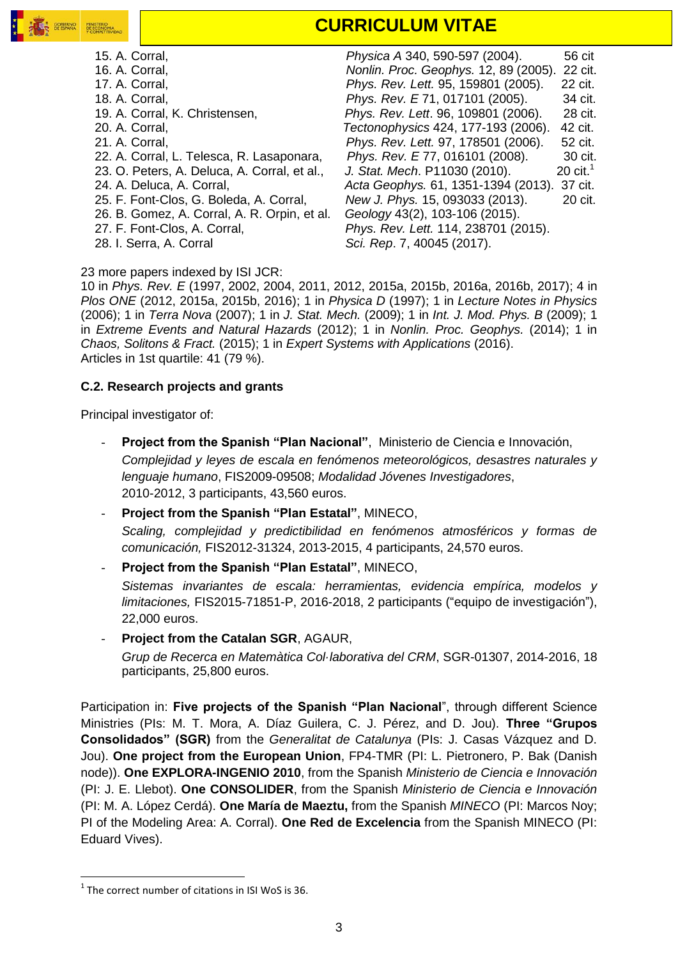

# **CURRICULUM VITAE**

 15. A. Corral, *Physica A* 340, 590-597 (2004). 56 cit 16. A. Corral, *Nonlin. Proc. Geophys.* 12, 89 (2005). 22 cit. 17. A. Corral, *Phys. Rev. Lett.* 95, 159801 (2005). 22 cit. 18. A. Corral, *Phys. Rev. E* 71, 017101 (2005). 34 cit. 19. A. Corral, K. Christensen, *Phys. Rev. Lett*. 96, 109801 (2006). 28 cit. 20. A. Corral, *Tectonophysics* 424, 177-193 (2006). 42 cit. 21. A. Corral, *Phys. Rev. Lett.* 97, 178501 (2006). 52 cit. 22. A. Corral, L. Telesca, R. Lasaponara, *Phys. Rev. E* 77, 016101 (2008). 30 cit. 23. O. Peters, A. Deluca, A. Corral, et al., *J. Stat. Mech*. P11030 (2010). 20 cit.<sup>1</sup> 24. A. Deluca, A. Corral, *Acta Geophys.* 61, 1351-1394 (2013). 37 cit. 25. F. Font-Clos, G. Boleda, A. Corral, *New J. Phys.* 15, 093033 (2013). 20 cit. 26. B. Gomez, A. Corral, A. R. Orpin, et al. *Geology* 43(2), 103-106 (2015). 27. F. Font-Clos, A. Corral, *Phys. Rev. Lett.* 114, 238701 (2015). 28. I. Serra, A. Corral *Sci. Rep*. 7, 40045 (2017).

#### 23 more papers indexed by ISI JCR:

10 in *Phys. Rev. E* (1997, 2002, 2004, 2011, 2012, 2015a, 2015b, 2016a, 2016b, 2017); 4 in *Plos ONE* (2012, 2015a, 2015b, 2016); 1 in *Physica D* (1997); 1 in *Lecture Notes in Physics*  (2006); 1 in *Terra Nova* (2007); 1 in *J. Stat. Mech.* (2009); 1 in *Int. J. Mod. Phys. B* (2009); 1 in *Extreme Events and Natural Hazards* (2012); 1 in *Nonlin. Proc. Geophys.* (2014); 1 in *Chaos, Solitons & Fract.* (2015); 1 in *Expert Systems with Applications* (2016). Articles in 1st quartile: 41 (79 %).

#### **C.2. Research projects and grants**

Principal investigator of:

- Project from the Spanish "Plan Nacional", Ministerio de Ciencia e Innovación, *Complejidad y leyes de escala en fenómenos meteorológicos, desastres naturales y lenguaje humano*, FIS2009-09508; *Modalidad Jóvenes Investigadores*, 2010-2012, 3 participants, 43,560 euros.
- **Project from the Spanish "Plan Estatal"**, MINECO, *Scaling, complejidad y predictibilidad en fenómenos atmosféricos y formas de comunicación,* FIS2012-31324, 2013-2015, 4 participants, 24,570 euros.
- **Project from the Spanish "Plan Estatal"**, MINECO, *Sistemas invariantes de escala: herramientas, evidencia empírica, modelos y limitaciones,* FIS2015-71851-P, 2016-2018, 2 participants ("equipo de investigación"),
- 22,000 euros. - **Project from the Catalan SGR**, AGAUR,
	- *Grup de Recerca en Matemàtica Col·laborativa del CRM*, SGR-01307, 2014-2016, 18 participants, 25,800 euros.

Participation in: **Five projects of the Spanish "Plan Nacional**", through different Science Ministries (PIs: M. T. Mora, A. Díaz Guilera, C. J. Pérez, and D. Jou). **Three "Grupos Consolidados" (SGR)** from the *Generalitat de Catalunya* (PIs: J. Casas Vázquez and D. Jou). **One project from the European Union**, FP4-TMR (PI: L. Pietronero, P. Bak (Danish node)). **One EXPLORA-INGENIO 2010**, from the Spanish *Ministerio de Ciencia e Innovación*  (PI: J. E. Llebot). **One CONSOLIDER**, from the Spanish *Ministerio de Ciencia e Innovación* (PI: M. A. López Cerdá). **One María de Maeztu,** from the Spanish *MINECO* (PI: Marcos Noy; PI of the Modeling Area: A. Corral). **One Red de Excelencia** from the Spanish MINECO (PI: Eduard Vives).

 $\overline{\phantom{a}}$ 

 $1$  The correct number of citations in ISI WoS is 36.